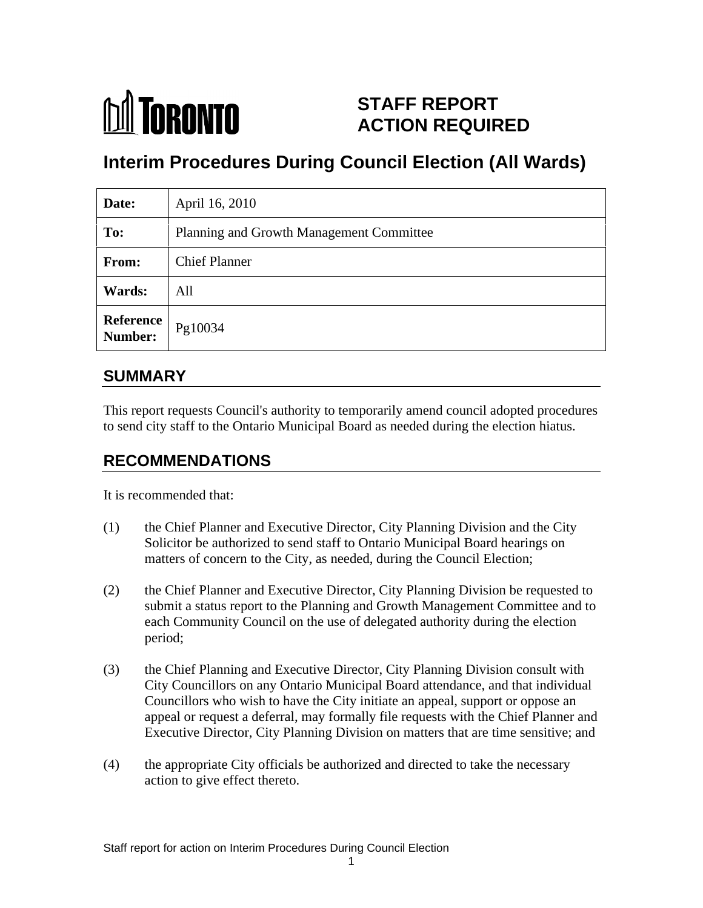

# **STAFF REPORT ACTION REQUIRED**

# **Interim Procedures During Council Election (All Wards)**

| Date:                    | April 16, 2010                           |
|--------------------------|------------------------------------------|
| To:                      | Planning and Growth Management Committee |
| From:                    | <b>Chief Planner</b>                     |
| <b>Wards:</b>            | All                                      |
| <b>Reference</b> Pg10034 |                                          |

# **SUMMARY**

This report requests Council's authority to temporarily amend council adopted procedures to send city staff to the Ontario Municipal Board as needed during the election hiatus.

# **RECOMMENDATIONS**

It is recommended that:

- (1) the Chief Planner and Executive Director, City Planning Division and the City Solicitor be authorized to send staff to Ontario Municipal Board hearings on matters of concern to the City, as needed, during the Council Election;
- (2) the Chief Planner and Executive Director, City Planning Division be requested to submit a status report to the Planning and Growth Management Committee and to each Community Council on the use of delegated authority during the election period;
- (3) the Chief Planning and Executive Director, City Planning Division consult with City Councillors on any Ontario Municipal Board attendance, and that individual Councillors who wish to have the City initiate an appeal, support or oppose an appeal or request a deferral, may formally file requests with the Chief Planner and Executive Director, City Planning Division on matters that are time sensitive; and
- (4) the appropriate City officials be authorized and directed to take the necessary action to give effect thereto.